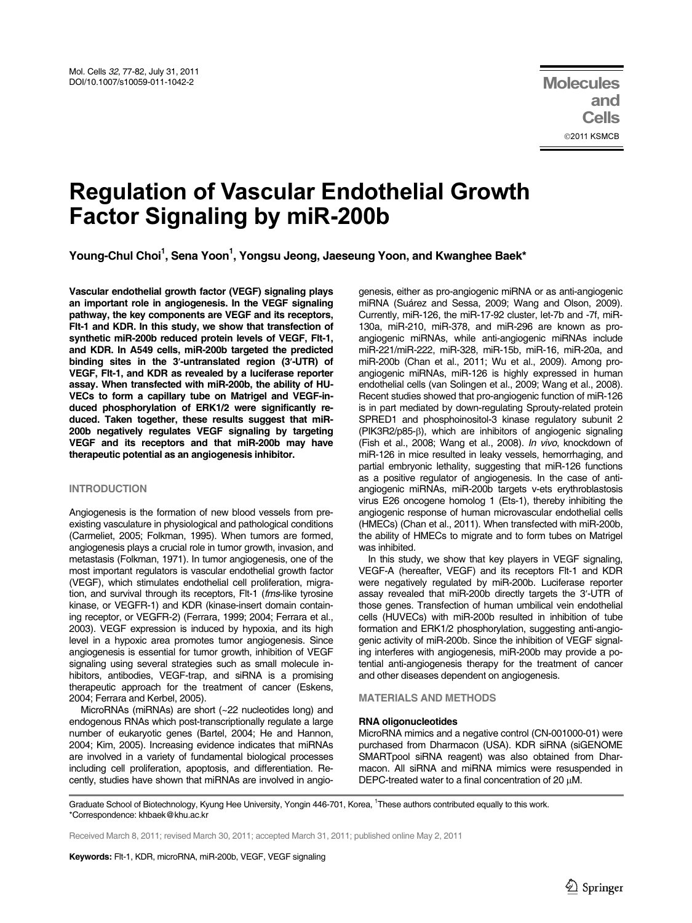# Regulation of Vascular Endothelial Growth Factor Signaling by miR-200b

Young-Chul Choi<sup>1</sup>, Sena Yoon<sup>1</sup>, Yongsu Jeong, Jaeseung Yoon, and Kwanghee Baek\*

Vascular endothelial growth factor (VEGF) signaling plays an important role in angiogenesis. In the VEGF signaling pathway, the key components are VEGF and its receptors, Flt-1 and KDR. In this study, we show that transfection of synthetic miR-200b reduced protein levels of VEGF, Flt-1, and KDR. In A549 cells, miR-200b targeted the predicted binding sites in the 3′-untranslated region (3′-UTR) of VEGF, Flt-1, and KDR as revealed by a luciferase reporter assay. When transfected with miR-200b, the ability of HU-VECs to form a capillary tube on Matrigel and VEGF-induced phosphorylation of ERK1/2 were significantly reduced. Taken together, these results suggest that miR-200b negatively regulates VEGF signaling by targeting VEGF and its receptors and that miR-200b may have therapeutic potential as an angiogenesis inhibitor.

# INTRODUCTION

Angiogenesis is the formation of new blood vessels from preexisting vasculature in physiological and pathological conditions (Carmeliet, 2005; Folkman, 1995). When tumors are formed, angiogenesis plays a crucial role in tumor growth, invasion, and metastasis (Folkman, 1971). In tumor angiogenesis, one of the most important regulators is vascular endothelial growth factor (VEGF), which stimulates endothelial cell proliferation, migration, and survival through its receptors, Flt-1 (fms-like tyrosine kinase, or VEGFR-1) and KDR (kinase-insert domain containing receptor, or VEGFR-2) (Ferrara, 1999; 2004; Ferrara et al., 2003). VEGF expression is induced by hypoxia, and its high level in a hypoxic area promotes tumor angiogenesis. Since angiogenesis is essential for tumor growth, inhibition of VEGF signaling using several strategies such as small molecule inhibitors, antibodies, VEGF-trap, and siRNA is a promising therapeutic approach for the treatment of cancer (Eskens, 2004; Ferrara and Kerbel, 2005).

MicroRNAs (miRNAs) are short (~22 nucleotides long) and endogenous RNAs which post-transcriptionally regulate a large number of eukaryotic genes (Bartel, 2004; He and Hannon, 2004; Kim, 2005). Increasing evidence indicates that miRNAs are involved in a variety of fundamental biological processes including cell proliferation, apoptosis, and differentiation. Recently, studies have shown that miRNAs are involved in angiogenesis, either as pro-angiogenic miRNA or as anti-angiogenic miRNA (Suárez and Sessa, 2009; Wang and Olson, 2009). Currently, miR-126, the miR-17-92 cluster, let-7b and -7f, miR-130a, miR-210, miR-378, and miR-296 are known as proangiogenic miRNAs, while anti-angiogenic miRNAs include miR-221/miR-222, miR-328, miR-15b, miR-16, miR-20a, and miR-200b (Chan et al., 2011; Wu et al., 2009). Among proangiogenic miRNAs, miR-126 is highly expressed in human endothelial cells (van Solingen et al., 2009; Wang et al., 2008). Recent studies showed that pro-angiogenic function of miR-126 is in part mediated by down-regulating Sprouty-related protein SPRED1 and phosphoinositol-3 kinase regulatory subunit 2 (PIK3R2/p85-β), which are inhibitors of angiogenic signaling (Fish et al., 2008; Wang et al., 2008). In vivo, knockdown of miR-126 in mice resulted in leaky vessels, hemorrhaging, and partial embryonic lethality, suggesting that miR-126 functions as a positive regulator of angiogenesis. In the case of antiangiogenic miRNAs, miR-200b targets v-ets erythroblastosis virus E26 oncogene homolog 1 (Ets-1), thereby inhibiting the angiogenic response of human microvascular endothelial cells (HMECs) (Chan et al., 2011). When transfected with miR-200b, the ability of HMECs to migrate and to form tubes on Matrigel was inhibited.

In this study, we show that key players in VEGF signaling, VEGF-A (hereafter, VEGF) and its receptors Flt-1 and KDR were negatively regulated by miR-200b. Luciferase reporter assay revealed that miR-200b directly targets the 3′-UTR of those genes. Transfection of human umbilical vein endothelial cells (HUVECs) with miR-200b resulted in inhibition of tube formation and ERK1/2 phosphorylation, suggesting anti-angiogenic activity of miR-200b. Since the inhibition of VEGF signaling interferes with angiogenesis, miR-200b may provide a potential anti-angiogenesis therapy for the treatment of cancer and other diseases dependent on angiogenesis.

# MATERIALS AND METHODS

# RNA oligonucleotides

MicroRNA mimics and a negative control (CN-001000-01) were purchased from Dharmacon (USA). KDR siRNA (siGENOME SMARTpool siRNA reagent) was also obtained from Dharmacon. All siRNA and miRNA mimics were resuspended in DEPC-treated water to a final concentration of 20 μM.

Graduate School of Biotechnology, Kyung Hee University, Yongin 446-701, Korea, <sup>1</sup>These authors contributed equally to this work. \*Correspondence: khbaek@khu.ac.kr

Received March 8, 2011; revised March 30, 2011; accepted March 31, 2011; published online May 2, 2011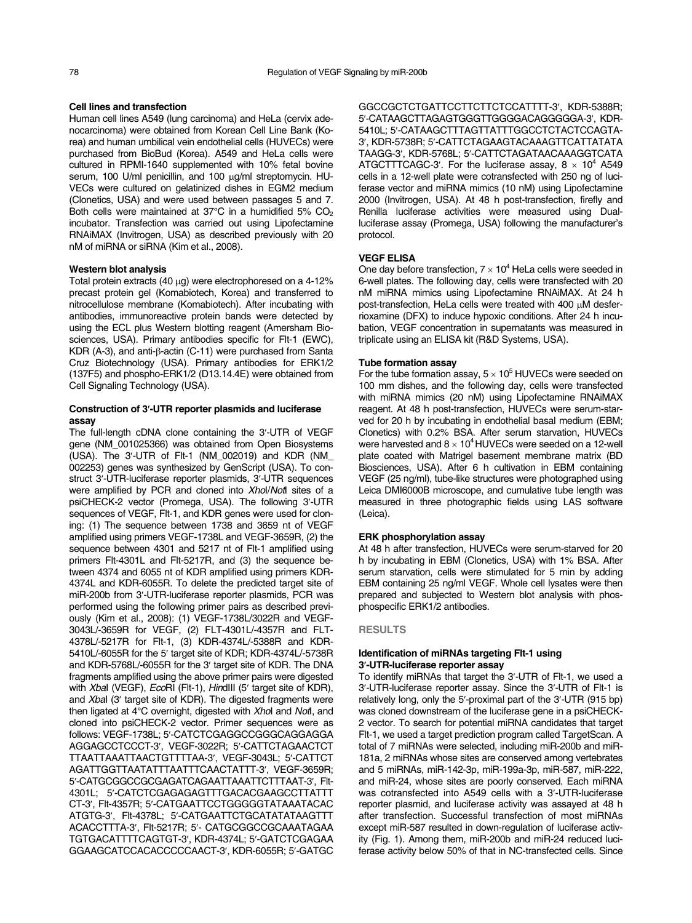### Cell lines and transfection

Human cell lines A549 (lung carcinoma) and HeLa (cervix adenocarcinoma) were obtained from Korean Cell Line Bank (Korea) and human umbilical vein endothelial cells (HUVECs) were purchased from BioBud (Korea). A549 and HeLa cells were cultured in RPMI-1640 supplemented with 10% fetal bovine serum, 100 U/ml penicillin, and 100 μg/ml streptomycin. HU-VECs were cultured on gelatinized dishes in EGM2 medium (Clonetics, USA) and were used between passages 5 and 7. Both cells were maintained at  $37^{\circ}$ C in a humidified 5%  $CO<sub>2</sub>$ incubator. Transfection was carried out using Lipofectamine RNAiMAX (Invitrogen, USA) as described previously with 20 nM of miRNA or siRNA (Kim et al., 2008).

### Western blot analysis

Total protein extracts (40 μg) were electrophoresed on a 4-12% precast protein gel (Komabiotech, Korea) and transferred to nitrocellulose membrane (Komabiotech). After incubating with antibodies, immunoreactive protein bands were detected by using the ECL plus Western blotting reagent (Amersham Biosciences, USA). Primary antibodies specific for Flt-1 (EWC), KDR (A-3), and anti-β-actin (C-11) were purchased from Santa Cruz Biotechnology (USA). Primary antibodies for ERK1/2 (137F5) and phospho-ERK1/2 (D13.14.4E) were obtained from Cell Signaling Technology (USA).

# Construction of 3′-UTR reporter plasmids and luciferase assay

The full-length cDNA clone containing the 3′-UTR of VEGF gene (NM\_001025366) was obtained from Open Biosystems (USA). The 3′-UTR of Flt-1 (NM\_002019) and KDR (NM\_ 002253) genes was synthesized by GenScript (USA). To construct 3′-UTR-luciferase reporter plasmids, 3′-UTR sequences were amplified by PCR and cloned into Xhol/Notl sites of a psiCHECK-2 vector (Promega, USA). The following 3′-UTR sequences of VEGF, Flt-1, and KDR genes were used for cloning: (1) The sequence between 1738 and 3659 nt of VEGF amplified using primers VEGF-1738L and VEGF-3659R, (2) the sequence between 4301 and 5217 nt of Flt-1 amplified using primers Flt-4301L and Flt-5217R, and (3) the sequence between 4374 and 6055 nt of KDR amplified using primers KDR-4374L and KDR-6055R. To delete the predicted target site of miR-200b from 3′-UTR-luciferase reporter plasmids, PCR was performed using the following primer pairs as described previously (Kim et al., 2008): (1) VEGF-1738L/3022R and VEGF-3043L/-3659R for VEGF, (2) FLT-4301L/-4357R and FLT-4378L/-5217R for Flt-1, (3) KDR-4374L/-5388R and KDR-5410L/-6055R for the 5′ target site of KDR; KDR-4374L/-5738R and KDR-5768L/-6055R for the 3′ target site of KDR. The DNA fragments amplified using the above primer pairs were digested with Xbal (VEGF), EcoRI (Flt-1), HindIII (5' target site of KDR), and Xbal (3' target site of KDR). The digested fragments were then ligated at 4°C overnight, digested with Xhol and Notl, and cloned into psiCHECK-2 vector. Primer sequences were as follows: VEGF-1738L; 5′-CATCTCGAGGCCGGGCAGGAGGA AGGAGCCTCCCT-3′, VEGF-3022R; 5′-CATTCTAGAACTCT TTAATTAAATTAACTGTTTTAA-3′, VEGF-3043L; 5′-CATTCT AGATTGGTTAATATTTAATTTCAACTATTT-3′, VEGF-3659R; 5′-CATGCGGCCGCGAGATCAGAATTAAATTCTTTAAT-3′, Flt-4301L; 5′-CATCTCGAGAGAGTTTGACACGAAGCCTTATTT CT-3′, Flt-4357R; 5′-CATGAATTCCTGGGGGTATAAATACAC ATGTG-3′, Flt-4378L; 5′-CATGAATTCTGCATATATAAGTTT ACACCTTTA-3′, Flt-5217R; 5′- CATGCGGCCGCAAATAGAA TGTGACATTTTCAGTGT-3′, KDR-4374L; 5′-GATCTCGAGAA GGAAGCATCCACACCCCCAACT-3′, KDR-6055R; 5′-GATGC

GGCCGCTCTGATTCCTTCTTCTCCATTTT-3′, KDR-5388R; 5′-CATAAGCTTAGAGTGGGTTGGGGACAGGGGGA-3′, KDR-5410L; 5′-CATAAGCTTTAGTTATTTGGCCTCTACTCCAGTA-3′, KDR-5738R; 5′-CATTCTAGAAGTACAAAGTTCATTATATA TAAGG-3′, KDR-5768L; 5′-CATTCTAGATAACAAAGGTCATA ATGCTTTCAGC-3'. For the luciferase assay,  $8 \times 10^4$  A549 cells in a 12-well plate were cotransfected with 250 ng of luciferase vector and miRNA mimics (10 nM) using Lipofectamine 2000 (Invitrogen, USA). At 48 h post-transfection, firefly and Renilla luciferase activities were measured using Dualluciferase assay (Promega, USA) following the manufacturer's protocol.

# VEGF ELISA

One day before transfection,  $7 \times 10^4$  HeLa cells were seeded in 6-well plates. The following day, cells were transfected with 20 nM miRNA mimics using Lipofectamine RNAiMAX. At 24 h post-transfection, HeLa cells were treated with 400 μM desferrioxamine (DFX) to induce hypoxic conditions. After 24 h incubation, VEGF concentration in supernatants was measured in triplicate using an ELISA kit (R&D Systems, USA).

# Tube formation assay

For the tube formation assay,  $5 \times 10^5$  HUVECs were seeded on 100 mm dishes, and the following day, cells were transfected with miRNA mimics (20 nM) using Lipofectamine RNAiMAX reagent. At 48 h post-transfection, HUVECs were serum-starved for 20 h by incubating in endothelial basal medium (EBM; Clonetics) with 0.2% BSA. After serum starvation, HUVECs were harvested and  $8 \times 10^4$  HUVECs were seeded on a 12-well plate coated with Matrigel basement membrane matrix (BD Biosciences, USA). After 6 h cultivation in EBM containing VEGF (25 ng/ml), tube-like structures were photographed using Leica DMI6000B microscope, and cumulative tube length was measured in three photographic fields using LAS software (Leica).

#### ERK phosphorylation assay

At 48 h after transfection, HUVECs were serum-starved for 20 h by incubating in EBM (Clonetics, USA) with 1% BSA. After serum starvation, cells were stimulated for 5 min by adding EBM containing 25 ng/ml VEGF. Whole cell lysates were then prepared and subjected to Western blot analysis with phosphospecific ERK1/2 antibodies.

#### RESULTS

# Identification of miRNAs targeting Flt-1 using <sup>3</sup>′-UTR-luciferase reporter assay

To identify miRNAs that target the 3′-UTR of Flt-1, we used a 3′-UTR-luciferase reporter assay. Since the 3′-UTR of Flt-1 is relatively long, only the 5′-proximal part of the 3′-UTR (915 bp) was cloned downstream of the luciferase gene in a psiCHECK-2 vector. To search for potential miRNA candidates that target Flt-1, we used a target prediction program called TargetScan. A total of 7 miRNAs were selected, including miR-200b and miR-181a, 2 miRNAs whose sites are conserved among vertebrates and 5 miRNAs, miR-142-3p, miR-199a-3p, miR-587, miR-222, and miR-24, whose sites are poorly conserved. Each miRNA was cotransfected into A549 cells with a 3′-UTR-luciferase reporter plasmid, and luciferase activity was assayed at 48 h after transfection. Successful transfection of most miRNAs except miR-587 resulted in down-regulation of luciferase activity (Fig. 1). Among them, miR-200b and miR-24 reduced luciferase activity below 50% of that in NC-transfected cells. Since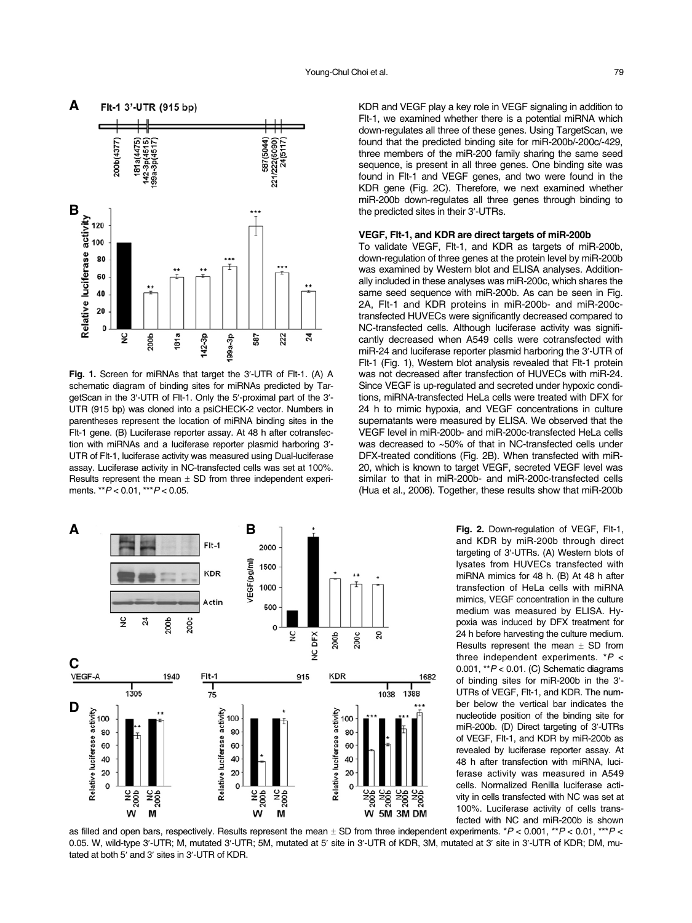

Fig. 1. Screen for miRNAs that target the 3'-UTR of Flt-1. (A) A schematic diagram of binding sites for miRNAs predicted by TargetScan in the 3′-UTR of Flt-1. Only the 5′-proximal part of the 3′- UTR (915 bp) was cloned into a psiCHECK-2 vector. Numbers in parentheses represent the location of miRNA binding sites in the Flt-1 gene. (B) Luciferase reporter assay. At 48 h after cotransfection with miRNAs and a luciferase reporter plasmid harboring 3′- UTR of Flt-1, luciferase activity was measured using Dual-luciferase assay. Luciferase activity in NC-transfected cells was set at 100%. Results represent the mean  $\pm$  SD from three independent experiments. \*\* $P$  < 0.01, \*\*\* $P$  < 0.05.



KDR and VEGF play a key role in VEGF signaling in addition to Flt-1, we examined whether there is a potential miRNA which down-regulates all three of these genes. Using TargetScan, we found that the predicted binding site for miR-200b/-200c/-429, three members of the miR-200 family sharing the same seed sequence, is present in all three genes. One binding site was found in Flt-1 and VEGF genes, and two were found in the KDR gene (Fig. 2C). Therefore, we next examined whether miR-200b down-regulates all three genes through binding to the predicted sites in their 3′-UTRs.

# VEGF, Flt-1, and KDR are direct targets of miR-200b

To validate VEGF, Flt-1, and KDR as targets of miR-200b, down-regulation of three genes at the protein level by miR-200b was examined by Western blot and ELISA analyses. Additionally included in these analyses was miR-200c, which shares the same seed sequence with miR-200b. As can be seen in Fig. 2A, Flt-1 and KDR proteins in miR-200b- and miR-200ctransfected HUVECs were significantly decreased compared to NC-transfected cells. Although luciferase activity was significantly decreased when A549 cells were cotransfected with miR-24 and luciferase reporter plasmid harboring the 3′-UTR of Flt-1 (Fig. 1), Western blot analysis revealed that Flt-1 protein was not decreased after transfection of HUVECs with miR-24. Since VEGF is up-regulated and secreted under hypoxic conditions, miRNA-transfected HeLa cells were treated with DFX for 24 h to mimic hypoxia, and VEGF concentrations in culture supernatants were measured by ELISA. We observed that the VEGF level in miR-200b- and miR-200c-transfected HeLa cells was decreased to ~50% of that in NC-transfected cells under DFX-treated conditions (Fig. 2B). When transfected with miR-20, which is known to target VEGF, secreted VEGF level was similar to that in miR-200b- and miR-200c-transfected cells (Hua et al., 2006). Together, these results show that miR-200b

> Fig. 2. Down-regulation of VEGF, Flt-1, and KDR by miR-200b through direct targeting of 3′-UTRs. (A) Western blots of lysates from HUVECs transfected with miRNA mimics for 48 h. (B) At 48 h after transfection of HeLa cells with miRNA mimics, VEGF concentration in the culture medium was measured by ELISA. Hypoxia was induced by DFX treatment for 24 h before harvesting the culture medium. Results represent the mean  $\pm$  SD from three independent experiments.  $*P <$ 0.001,  $*P < 0.01$ . (C) Schematic diagrams of binding sites for miR-200b in the 3′- UTRs of VEGF, Flt-1, and KDR. The number below the vertical bar indicates the nucleotide position of the binding site for miR-200b. (D) Direct targeting of 3′-UTRs of VEGF, Flt-1, and KDR by miR-200b as revealed by luciferase reporter assay. At 48 h after transfection with miRNA, luciferase activity was measured in A549 cells. Normalized Renilla luciferase activity in cells transfected with NC was set at 100%. Luciferase activity of cells transfected with NC and miR-200b is shown

as filled and open bars, respectively. Results represent the mean  $\pm$  SD from three independent experiments. \*P < 0.001, \*\*P < 0.01, \*\*P < 0.01, \*\*P < 0.05. W, wild-type 3′-UTR; M, mutated 3′-UTR; 5M, mutated at 5′ site in 3′-UTR of KDR, 3M, mutated at 3′ site in 3′-UTR of KDR; DM, mutated at both 5′ and 3′ sites in 3′-UTR of KDR.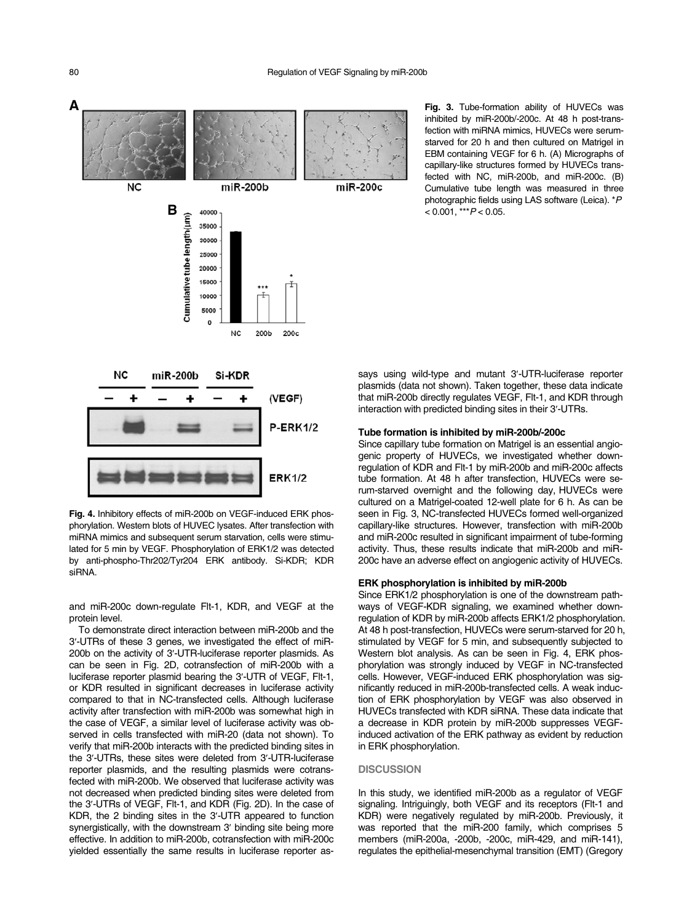

Fig. 4. Inhibitory effects of miR-200b on VEGF-induced ERK phosphorylation. Western blots of HUVEC lysates. After transfection with miRNA mimics and subsequent serum starvation, cells were stimulated for 5 min by VEGF. Phosphorylation of ERK1/2 was detected by anti-phospho-Thr202/Tyr204 ERK antibody. Si-KDR; KDR siRNA.

and miR-200c down-regulate Flt-1, KDR, and VEGF at the protein level.

To demonstrate direct interaction between miR-200b and the 3′-UTRs of these 3 genes, we investigated the effect of miR-200b on the activity of 3′-UTR-luciferase reporter plasmids. As can be seen in Fig. 2D, cotransfection of miR-200b with a luciferase reporter plasmid bearing the 3′-UTR of VEGF, Flt-1, or KDR resulted in significant decreases in luciferase activity compared to that in NC-transfected cells. Although luciferase activity after transfection with miR-200b was somewhat high in the case of VEGF, a similar level of luciferase activity was observed in cells transfected with miR-20 (data not shown). To verify that miR-200b interacts with the predicted binding sites in the 3′-UTRs, these sites were deleted from 3′-UTR-luciferase reporter plasmids, and the resulting plasmids were cotransfected with miR-200b. We observed that luciferase activity was not decreased when predicted binding sites were deleted from the 3′-UTRs of VEGF, Flt-1, and KDR (Fig. 2D). In the case of the 3'-UTRs of VEGF, Flt-1, and KDR (Fig. 2D). In the case of KDR, the 2 binding sites in the 3'-UTR appeared to function synergistically, with the downstream 3' binding site being more effective. In addition to miR-200b, cotransfection with miR-200c yielded essentially the same results in luciferase reporter asFig. 3. Tube-formation ability of HUVECs was inhibited by miR-200b/-200c. At 48 h post-transfection with miRNA mimics, HUVECs were serumstarved for 20 h and then cultured on Matrigel in EBM containing VEGF for 6 h. (A) Micrographs of capillary-like structures formed by HUVECs transfected with NC, miR-200b, and miR-200c. (B) Cumulative tube length was measured in three photographic fields using LAS software (Leica). \*P.  $< 0.001$ , \*\*\* $P < 0.05$ .

says using wild-type and mutant 3′-UTR-luciferase reporter plasmids (data not shown). Taken together, these data indicate that miR-200b directly regulates VEGF, Flt-1, and KDR through interaction with predicted binding sites in their 3′-UTRs.

#### Tube formation is inhibited by miR-200b/-200c

Since capillary tube formation on Matrigel is an essential angiogenic property of HUVECs, we investigated whether downregulation of KDR and Flt-1 by miR-200b and miR-200c affects tube formation. At 48 h after transfection, HUVECs were serum-starved overnight and the following day, HUVECs were cultured on a Matrigel-coated 12-well plate for 6 h. As can be seen in Fig. 3, NC-transfected HUVECs formed well-organized capillary-like structures. However, transfection with miR-200b and miR-200c resulted in significant impairment of tube-forming activity. Thus, these results indicate that miR-200b and miR-200c have an adverse effect on angiogenic activity of HUVECs.

#### ERK phosphorylation is inhibited by miR-200b

Since ERK1/2 phosphorylation is one of the downstream pathways of VEGF-KDR signaling, we examined whether downregulation of KDR by miR-200b affects ERK1/2 phosphorylation. At 48 h post-transfection, HUVECs were serum-starved for 20 h, stimulated by VEGF for 5 min, and subsequently subjected to Western blot analysis. As can be seen in Fig. 4, ERK phosphorylation was strongly induced by VEGF in NC-transfected cells. However, VEGF-induced ERK phosphorylation was significantly reduced in miR-200b-transfected cells. A weak induction of ERK phosphorylation by VEGF was also observed in HUVECs transfected with KDR siRNA. These data indicate that a decrease in KDR protein by miR-200b suppresses VEGFinduced activation of the ERK pathway as evident by reduction in ERK phosphorylation.

#### **DISCUSSION**

In this study, we identified miR-200b as a regulator of VEGF signaling. Intriguingly, both VEGF and its receptors (Flt-1 and KDR) were negatively regulated by miR-200b. Previously, it was reported that the miR-200 family, which comprises 5 members (miR-200a, -200b, -200c, miR-429, and miR-141), regulates the epithelial-mesenchymal transition (EMT) (Gregory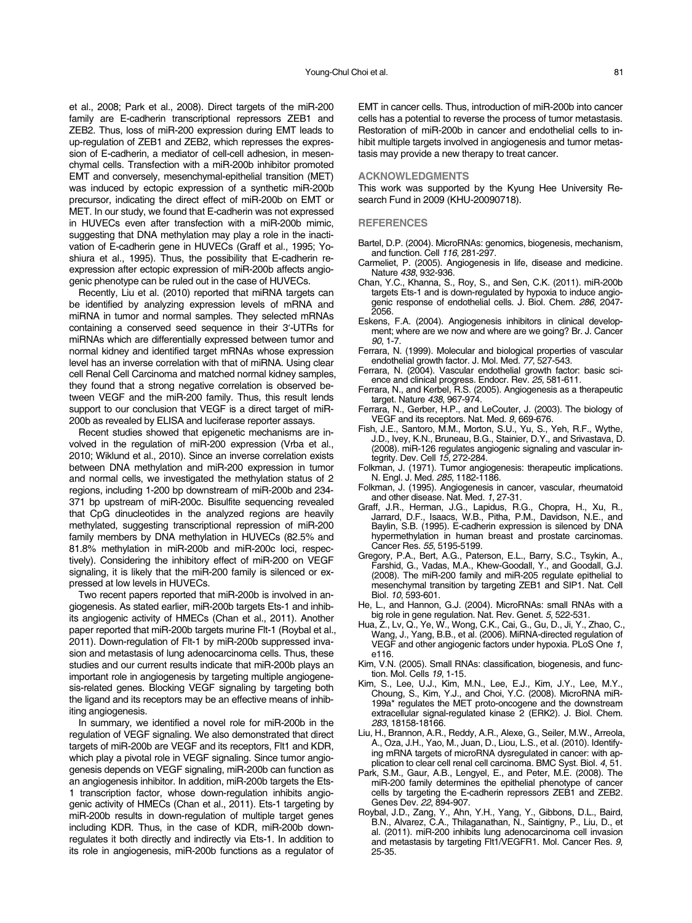et al., 2008; Park et al., 2008). Direct targets of the miR-200 family are E-cadherin transcriptional repressors ZEB1 and ZEB2. Thus, loss of miR-200 expression during EMT leads to up-regulation of ZEB1 and ZEB2, which represses the expression of E-cadherin, a mediator of cell-cell adhesion, in mesenchymal cells. Transfection with a miR-200b inhibitor promoted EMT and conversely, mesenchymal-epithelial transition (MET) was induced by ectopic expression of a synthetic miR-200b precursor, indicating the direct effect of miR-200b on EMT or MET. In our study, we found that E-cadherin was not expressed in HUVECs even after transfection with a miR-200b mimic, suggesting that DNA methylation may play a role in the inactivation of E-cadherin gene in HUVECs (Graff et al., 1995; Yoshiura et al., 1995). Thus, the possibility that E-cadherin reexpression after ectopic expression of miR-200b affects angiogenic phenotype can be ruled out in the case of HUVECs.

Recently, Liu et al. (2010) reported that miRNA targets can be identified by analyzing expression levels of mRNA and miRNA in tumor and normal samples. They selected mRNAs containing a conserved seed sequence in their 3′-UTRs for miRNAs which are differentially expressed between tumor and normal kidney and identified target mRNAs whose expression level has an inverse correlation with that of miRNA. Using clear cell Renal Cell Carcinoma and matched normal kidney samples, they found that a strong negative correlation is observed between VEGF and the miR-200 family. Thus, this result lends support to our conclusion that VEGF is a direct target of miR-200b as revealed by ELISA and luciferase reporter assays.

Recent studies showed that epigenetic mechanisms are involved in the regulation of miR-200 expression (Vrba et al., 2010; Wiklund et al., 2010). Since an inverse correlation exists between DNA methylation and miR-200 expression in tumor and normal cells, we investigated the methylation status of 2 regions, including 1-200 bp downstream of miR-200b and 234- 371 bp upstream of miR-200c. Bisulfite sequencing revealed that CpG dinucleotides in the analyzed regions are heavily methylated, suggesting transcriptional repression of miR-200 family members by DNA methylation in HUVECs (82.5% and 81.8% methylation in miR-200b and miR-200c loci, respectively). Considering the inhibitory effect of miR-200 on VEGF signaling, it is likely that the miR-200 family is silenced or expressed at low levels in HUVECs.

Two recent papers reported that miR-200b is involved in angiogenesis. As stated earlier, miR-200b targets Ets-1 and inhibits angiogenic activity of HMECs (Chan et al., 2011). Another paper reported that miR-200b targets murine Flt-1 (Roybal et al., 2011). Down-regulation of Flt-1 by miR-200b suppressed invasion and metastasis of lung adenocarcinoma cells. Thus, these studies and our current results indicate that miR-200b plays an important role in angiogenesis by targeting multiple angiogenesis-related genes. Blocking VEGF signaling by targeting both the ligand and its receptors may be an effective means of inhibiting angiogenesis.

In summary, we identified a novel role for miR-200b in the regulation of VEGF signaling. We also demonstrated that direct targets of miR-200b are VEGF and its receptors, Flt1 and KDR, which play a pivotal role in VEGF signaling. Since tumor angiogenesis depends on VEGF signaling, miR-200b can function as an angiogenesis inhibitor. In addition, miR-200b targets the Ets-1 transcription factor, whose down-regulation inhibits angiogenic activity of HMECs (Chan et al., 2011). Ets-1 targeting by miR-200b results in down-regulation of multiple target genes including KDR. Thus, in the case of KDR, miR-200b downregulates it both directly and indirectly via Ets-1. In addition to its role in angiogenesis, miR-200b functions as a regulator of

EMT in cancer cells. Thus, introduction of miR-200b into cancer cells has a potential to reverse the process of tumor metastasis. Restoration of miR-200b in cancer and endothelial cells to inhibit multiple targets involved in angiogenesis and tumor metastasis may provide a new therapy to treat cancer.

#### ACKNOWLEDGMENTS

This work was supported by the Kyung Hee University Research Fund in 2009 (KHU-20090718).

#### **REFERENCES**

- Bartel, D.P. (2004). MicroRNAs: genomics, biogenesis, mechanism, and function. Cell 116, 281-297.
- Carmeliet, P. (2005). Angiogenesis in life, disease and medicine. Nature 438, 932-936.
- Chan, Y.C., Khanna, S., Roy, S., and Sen, C.K. (2011). miR-200b targets Ets-1 and is down-regulated by hypoxia to induce angiogenic response of endothelial cells. J. Biol. Chem. 286, 2047-2056.
- Eskens, F.A. (2004). Angiogenesis inhibitors in clinical development; where are we now and where are we going? Br. J. Cancer 90, 1-7.
- Ferrara, N. (1999). Molecular and biological properties of vascular endothelial growth factor. J. Mol. Med. 77, 527-543.
- Ferrara, N. (2004). Vascular endothelial growth factor: basic science and clinical progress. Endocr. Rev. 25, 581-611.
- Ferrara, N., and Kerbel, R.S. (2005). Angiogenesis as a therapeutic target. Nature 438, 967-974.
- Ferrara, N., Gerber, H.P., and LeCouter, J. (2003). The biology of VEGF and its receptors. Nat. Med. 9, 669-676.
- Fish, J.E., Santoro, M.M., Morton, S.U., Yu, S., Yeh, R.F., Wythe, J.D., Ivey, K.N., Bruneau, B.G., Stainier, D.Y., and Srivastava, D. (2008). miR-126 regulates angiogenic signaling and vascular integrity. Dev. Cell 15, 272-284.
- Folkman, J. (1971). Tumor angiogenesis: therapeutic implications. N. Engl. J. Med. 285, 1182-1186.
- Folkman, J. (1995). Angiogenesis in cancer, vascular, rheumatoid and other disease. Nat. Med. 1, 27-31.
- Graff, J.R., Herman, J.G., Lapidus, R.G., Chopra, H., Xu, R., Jarrard, D.F., Isaacs, W.B., Pitha, P.M., Davidson, N.E., and Baylin, S.B. (1995). E-cadherin expression is silenced by DNA hypermethylation in human breast and prostate carcinomas. Cancer Res. 55, 5195-5199.
- Gregory, P.A., Bert, A.G., Paterson, E.L., Barry, S.C., Tsykin, A., Farshid, G., Vadas, M.A., Khew-Goodall, Y., and Goodall, G.J. (2008). The miR-200 family and miR-205 regulate epithelial to mesenchymal transition by targeting ZEB1 and SIP1. Nat. Cell Biol. 10, 593-601.
- He, L., and Hannon, G.J. (2004). MicroRNAs: small RNAs with a big role in gene regulation. Nat. Rev. Genet. 5, 522-531.
- Hua, Z., Lv, Q., Ye, W., Wong, C.K., Cai, G., Gu, D., Ji, Y., Zhao, C., Wang, J., Yang, B.B., et al. (2006). MiRNA-directed regulation of VEGF and other angiogenic factors under hypoxia. PLoS One 1, e116.
- Kim, V.N. (2005). Small RNAs: classification, biogenesis, and function. Mol. Cells 19, 1-15.
- Kim, S., Lee, U.J., Kim, M.N., Lee, E.J., Kim, J.Y., Lee, M.Y., Choung, S., Kim, Y.J., and Choi, Y.C. (2008). MicroRNA miR-199a\* regulates the MET proto-oncogene and the downstream extracellular signal-regulated kinase 2 (ERK2). J. Biol. Chem. 283, 18158-18166.
- Liu, H., Brannon, A.R., Reddy, A.R., Alexe, G., Seiler, M.W., Arreola, A., Oza, J.H., Yao, M., Juan, D., Liou, L.S., et al. (2010). Identifying mRNA targets of microRNA dysregulated in cancer: with application to clear cell renal cell carcinoma. BMC Syst. Biol. 4, 51.
- Park, S.M., Gaur, A.B., Lengyel, E., and Peter, M.E. (2008). The miR-200 family determines the epithelial phenotype of cancer cells by targeting the E-cadherin repressors ZEB1 and ZEB2. Genes Dev. 22, 894-907.
- Roybal, J.D., Zang, Y., Ahn, Y.H., Yang, Y., Gibbons, D.L., Baird, B.N., Alvarez, C.A., Thilaganathan, N., Saintigny, P., Liu, D., et al. (2011). miR-200 inhibits lung adenocarcinoma cell invasion and metastasis by targeting Flt1/VEGFR1. Mol. Cancer Res. 9, 25-35.